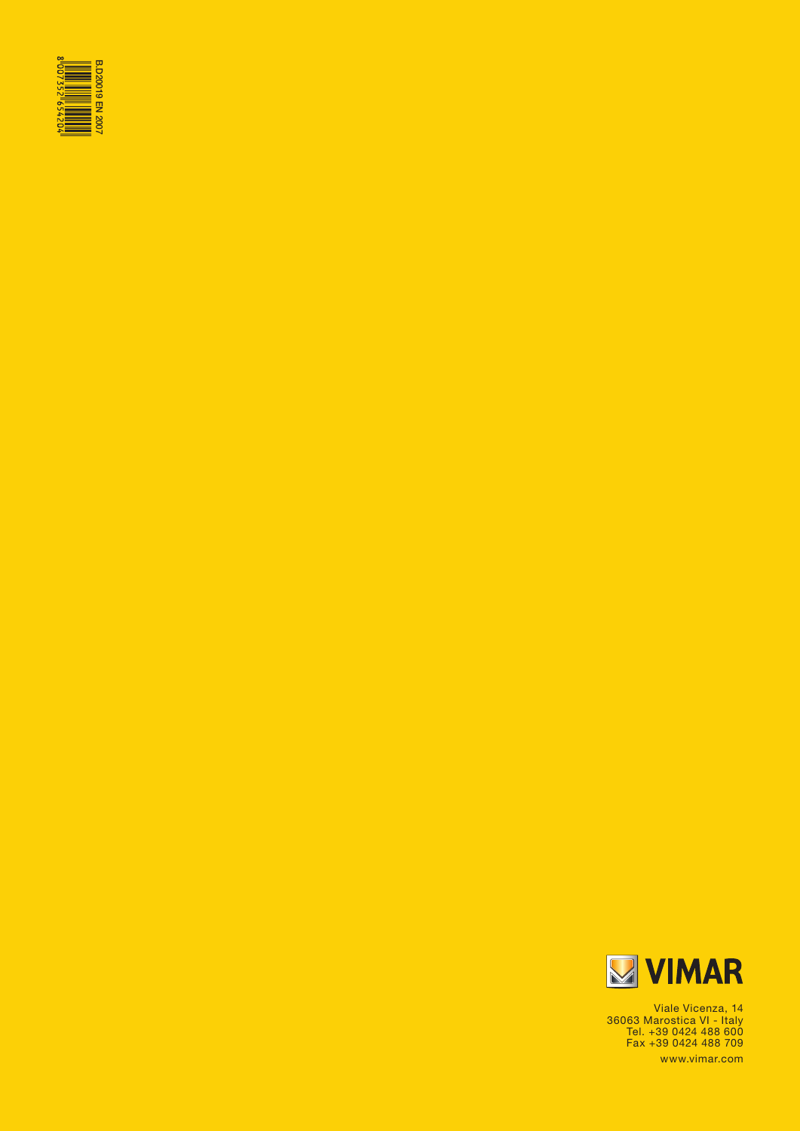



Viale Vicenza, 14 36063 Marostica VI - Italy Tel. +39 0424 488 600 Fax +39 0424 488 709 www.vimar.com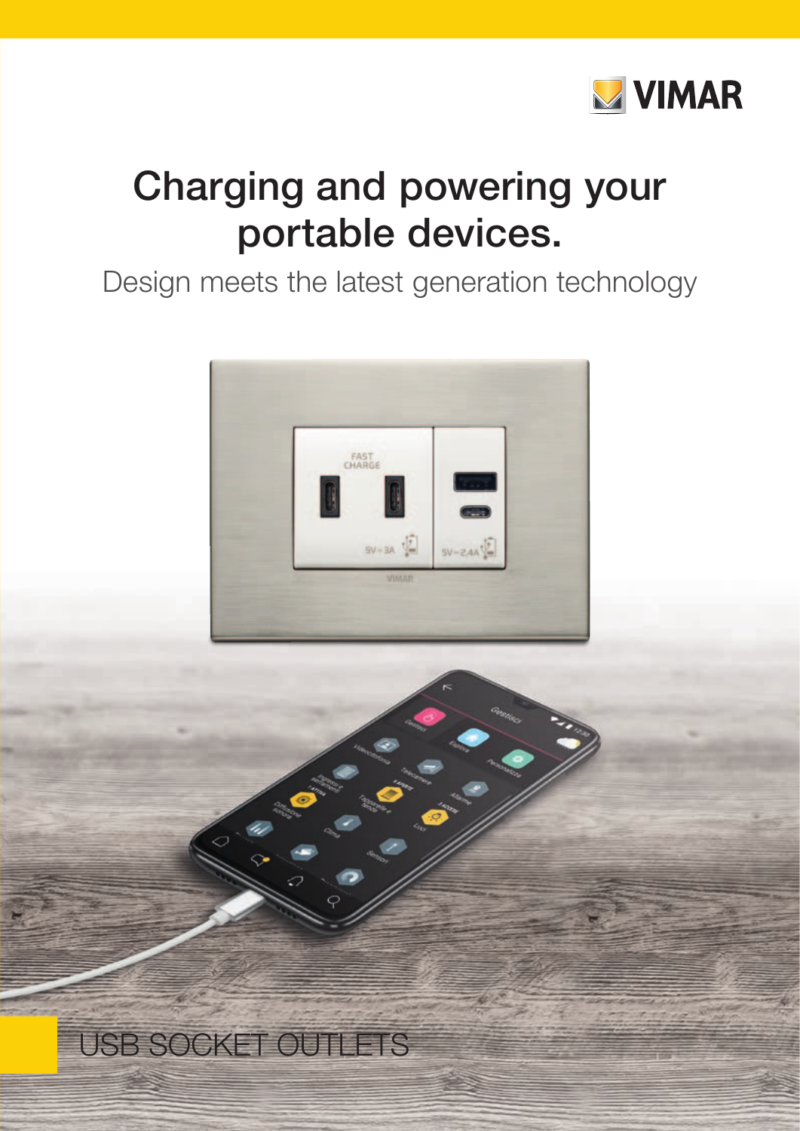

# Charging and powering your portable devices.

## Design meets the latest generation technology



# USB SOCKET OUTLETS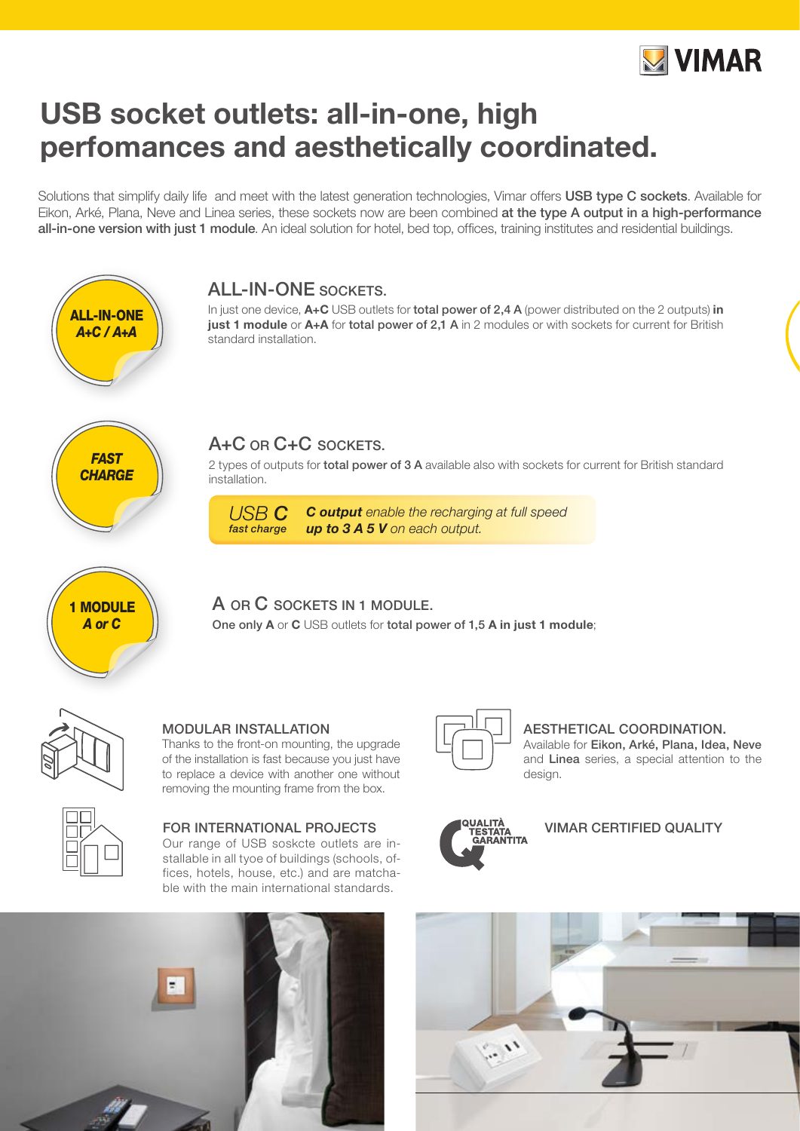

## USB socket outlets: all-in-one, high perfomances and aesthetically coordinated.

Solutions that simplify daily life and meet with the latest generation technologies, Vimar offers USB type C sockets. Available for Eikon, Arké, Plana, Neve and Linea series, these sockets now are been combined at the type A output in a high-performance all-in-one version with just 1 module. An ideal solution for hotel, bed top, offices, training institutes and residential buildings.



## ALL-IN-ONE SOCKETS.

In just one device, A+C USB outlets for total power of 2,4 A (power distributed on the 2 outputs) in just 1 module or A+A for total power of 2,1 A in 2 modules or with sockets for current for British standard installation.



## A+C OR C+C SOCKETS.

2 types of outputs for total power of 3 A available also with sockets for current for British standard installation.



#### *C output enable the recharging at full speed up to 3 A 5 V on each output. USB C fast charge*

A OR C SOCKETS IN 1 MODULE.

One only A or C USB outlets for total power of 1,5 A in just 1 module;



### MODULAR INSTALLATION

Thanks to the front-on mounting, the upgrade of the installation is fast because you just have to replace a device with another one without removing the mounting frame from the box.



### FOR INTERNATIONAL PROJECTS

Our range of USB soskcte outlets are installable in all tyoe of buildings (schools, offices, hotels, house, etc.) and are matchable with the main international standards.





AESTHETICAL COORDINATION. Available for Eikon, Arké, Plana, Idea, Neve and Linea series, a special attention to the design.



### VIMAR CERTIFIED QUALITY